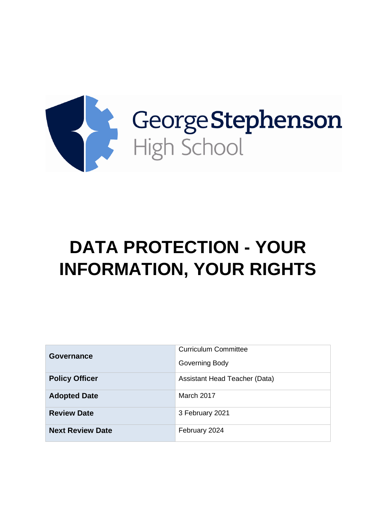

# **DATA PROTECTION - YOUR INFORMATION, YOUR RIGHTS**

| Governance              | <b>Curriculum Committee</b>   |
|-------------------------|-------------------------------|
|                         | Governing Body                |
| <b>Policy Officer</b>   | Assistant Head Teacher (Data) |
| <b>Adopted Date</b>     | March 2017                    |
| <b>Review Date</b>      | 3 February 2021               |
| <b>Next Review Date</b> | February 2024                 |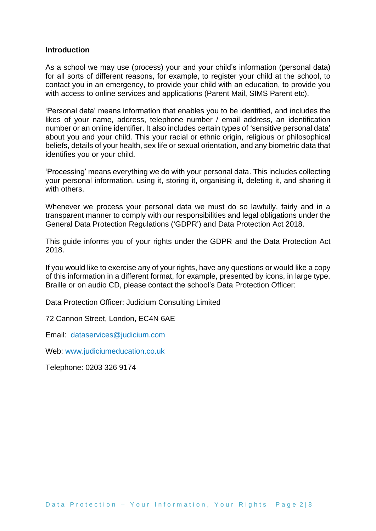#### **Introduction**

As a school we may use (process) your and your child's information (personal data) for all sorts of different reasons, for example, to register your child at the school, to contact you in an emergency, to provide your child with an education, to provide you with access to online services and applications (Parent Mail, SIMS Parent etc).

'Personal data' means information that enables you to be identified, and includes the likes of your name, address, telephone number / email address, an identification number or an online identifier. It also includes certain types of 'sensitive personal data' about you and your child. This your racial or ethnic origin, religious or philosophical beliefs, details of your health, sex life or sexual orientation, and any biometric data that identifies you or your child.

'Processing' means everything we do with your personal data. This includes collecting your personal information, using it, storing it, organising it, deleting it, and sharing it with others.

Whenever we process your personal data we must do so lawfully, fairly and in a transparent manner to comply with our responsibilities and legal obligations under the General Data Protection Regulations ('GDPR') and Data Protection Act 2018.

This guide informs you of your rights under the GDPR and the Data Protection Act 2018.

If you would like to exercise any of your rights, have any questions or would like a copy of this information in a different format, for example, presented by icons, in large type, Braille or on audio CD, please contact the school's Data Protection Officer:

Data Protection Officer: Judicium Consulting Limited

72 Cannon Street, London, EC4N 6AE

Email: [dataservices@judicium.com](mailto:dataservices@judicium.com)

Web: [www.judiciumeducation.co.uk](http://www.judiciumeducation.co.uk/)

Telephone: 0203 326 9174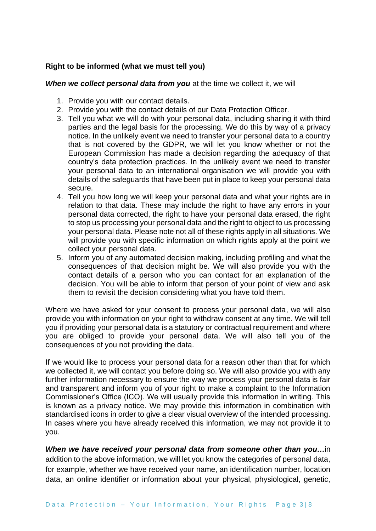# **Right to be informed (what we must tell you)**

*When we collect personal data from you* at the time we collect it, we will

- 1. Provide you with our contact details.
- 2. Provide you with the contact details of our Data Protection Officer.
- 3. Tell you what we will do with your personal data, including sharing it with third parties and the legal basis for the processing. We do this by way of a privacy notice. In the unlikely event we need to transfer your personal data to a country that is not covered by the GDPR, we will let you know whether or not the European Commission has made a decision regarding the adequacy of that country's data protection practices. In the unlikely event we need to transfer your personal data to an international organisation we will provide you with details of the safeguards that have been put in place to keep your personal data secure.
- 4. Tell you how long we will keep your personal data and what your rights are in relation to that data. These may include the right to have any errors in your personal data corrected, the right to have your personal data erased, the right to stop us processing your personal data and the right to object to us processing your personal data. Please note not all of these rights apply in all situations. We will provide you with specific information on which rights apply at the point we collect your personal data.
- 5. Inform you of any automated decision making, including profiling and what the consequences of that decision might be. We will also provide you with the contact details of a person who you can contact for an explanation of the decision. You will be able to inform that person of your point of view and ask them to revisit the decision considering what you have told them.

Where we have asked for your consent to process your personal data, we will also provide you with information on your right to withdraw consent at any time. We will tell you if providing your personal data is a statutory or contractual requirement and where you are obliged to provide your personal data. We will also tell you of the consequences of you not providing the data.

If we would like to process your personal data for a reason other than that for which we collected it, we will contact you before doing so. We will also provide you with any further information necessary to ensure the way we process your personal data is fair and transparent and inform you of your right to make a complaint to the Information Commissioner's Office (ICO). We will usually provide this information in writing. This is known as a privacy notice. We may provide this information in combination with standardised icons in order to give a clear visual overview of the intended processing. In cases where you have already received this information, we may not provide it to you.

*When we have received your personal data from someone other than you…*in addition to the above information, we will let you know the categories of personal data, for example, whether we have received your name, an identification number, location data, an online identifier or information about your physical, physiological, genetic,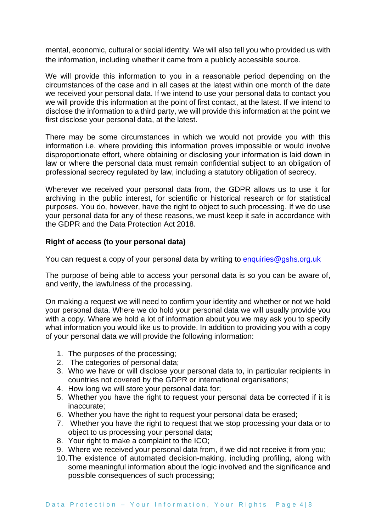mental, economic, cultural or social identity. We will also tell you who provided us with the information, including whether it came from a publicly accessible source.

We will provide this information to you in a reasonable period depending on the circumstances of the case and in all cases at the latest within one month of the date we received your personal data. If we intend to use your personal data to contact you we will provide this information at the point of first contact, at the latest. If we intend to disclose the information to a third party, we will provide this information at the point we first disclose your personal data, at the latest.

There may be some circumstances in which we would not provide you with this information i.e. where providing this information proves impossible or would involve disproportionate effort, where obtaining or disclosing your information is laid down in law or where the personal data must remain confidential subject to an obligation of professional secrecy regulated by law, including a statutory obligation of secrecy.

Wherever we received your personal data from, the GDPR allows us to use it for archiving in the public interest, for scientific or historical research or for statistical purposes. You do, however, have the right to object to such processing. If we do use your personal data for any of these reasons, we must keep it safe in accordance with the GDPR and the Data Protection Act 2018.

## **Right of access (to your personal data)**

You can request a copy of your personal data by writing to [enquiries@gshs.org.uk](mailto:enquiries@gshs.org.uk)

The purpose of being able to access your personal data is so you can be aware of, and verify, the lawfulness of the processing.

On making a request we will need to confirm your identity and whether or not we hold your personal data. Where we do hold your personal data we will usually provide you with a copy. Where we hold a lot of information about you we may ask you to specify what information you would like us to provide. In addition to providing you with a copy of your personal data we will provide the following information:

- 1. The purposes of the processing;
- 2. The categories of personal data;
- 3. Who we have or will disclose your personal data to, in particular recipients in countries not covered by the GDPR or international organisations;
- 4. How long we will store your personal data for;
- 5. Whether you have the right to request your personal data be corrected if it is inaccurate;
- 6. Whether you have the right to request your personal data be erased;
- 7. Whether you have the right to request that we stop processing your data or to object to us processing your personal data;
- 8. Your right to make a complaint to the ICO;
- 9. Where we received your personal data from, if we did not receive it from you;
- 10.The existence of automated decision-making, including profiling, along with some meaningful information about the logic involved and the significance and possible consequences of such processing;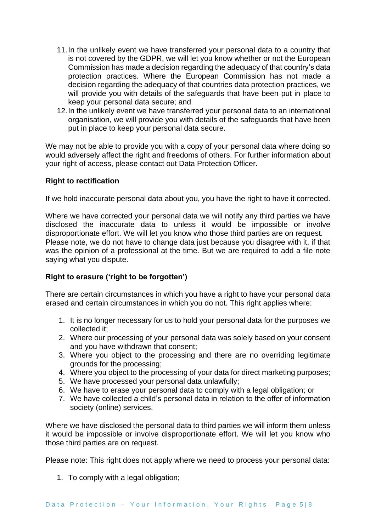- 11.In the unlikely event we have transferred your personal data to a country that is not covered by the GDPR, we will let you know whether or not the European Commission has made a decision regarding the adequacy of that country's data protection practices. Where the European Commission has not made a decision regarding the adequacy of that countries data protection practices, we will provide you with details of the safeguards that have been put in place to keep your personal data secure; and
- 12.In the unlikely event we have transferred your personal data to an international organisation, we will provide you with details of the safeguards that have been put in place to keep your personal data secure.

We may not be able to provide you with a copy of your personal data where doing so would adversely affect the right and freedoms of others. For further information about your right of access, please contact out Data Protection Officer.

#### **Right to rectification**

If we hold inaccurate personal data about you, you have the right to have it corrected.

Where we have corrected your personal data we will notify any third parties we have disclosed the inaccurate data to unless it would be impossible or involve disproportionate effort. We will let you know who those third parties are on request. Please note, we do not have to change data just because you disagree with it, if that was the opinion of a professional at the time. But we are required to add a file note saying what you dispute.

## **Right to erasure ('right to be forgotten')**

There are certain circumstances in which you have a right to have your personal data erased and certain circumstances in which you do not. This right applies where:

- 1. It is no longer necessary for us to hold your personal data for the purposes we collected it;
- 2. Where our processing of your personal data was solely based on your consent and you have withdrawn that consent;
- 3. Where you object to the processing and there are no overriding legitimate grounds for the processing;
- 4. Where you object to the processing of your data for direct marketing purposes;
- 5. We have processed your personal data unlawfully;
- 6. We have to erase your personal data to comply with a legal obligation; or
- 7. We have collected a child's personal data in relation to the offer of information society (online) services.

Where we have disclosed the personal data to third parties we will inform them unless it would be impossible or involve disproportionate effort. We will let you know who those third parties are on request.

Please note: This right does not apply where we need to process your personal data:

1. To comply with a legal obligation;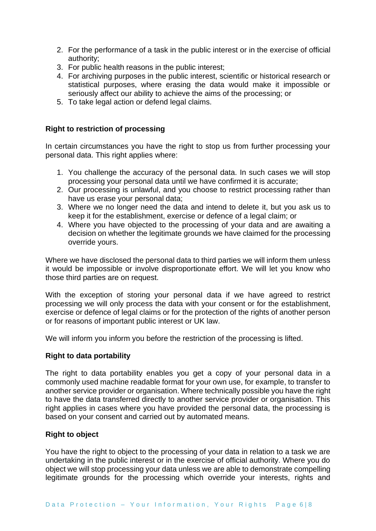- 2. For the performance of a task in the public interest or in the exercise of official authority;
- 3. For public health reasons in the public interest;
- 4. For archiving purposes in the public interest, scientific or historical research or statistical purposes, where erasing the data would make it impossible or seriously affect our ability to achieve the aims of the processing; or
- 5. To take legal action or defend legal claims.

## **Right to restriction of processing**

In certain circumstances you have the right to stop us from further processing your personal data. This right applies where:

- 1. You challenge the accuracy of the personal data. In such cases we will stop processing your personal data until we have confirmed it is accurate;
- 2. Our processing is unlawful, and you choose to restrict processing rather than have us erase your personal data;
- 3. Where we no longer need the data and intend to delete it, but you ask us to keep it for the establishment, exercise or defence of a legal claim; or
- 4. Where you have objected to the processing of your data and are awaiting a decision on whether the legitimate grounds we have claimed for the processing override yours.

Where we have disclosed the personal data to third parties we will inform them unless it would be impossible or involve disproportionate effort. We will let you know who those third parties are on request.

With the exception of storing your personal data if we have agreed to restrict processing we will only process the data with your consent or for the establishment, exercise or defence of legal claims or for the protection of the rights of another person or for reasons of important public interest or UK law.

We will inform you inform you before the restriction of the processing is lifted.

## **Right to data portability**

The right to data portability enables you get a copy of your personal data in a commonly used machine readable format for your own use, for example, to transfer to another service provider or organisation. Where technically possible you have the right to have the data transferred directly to another service provider or organisation. This right applies in cases where you have provided the personal data, the processing is based on your consent and carried out by automated means.

## **Right to object**

You have the right to object to the processing of your data in relation to a task we are undertaking in the public interest or in the exercise of official authority. Where you do object we will stop processing your data unless we are able to demonstrate compelling legitimate grounds for the processing which override your interests, rights and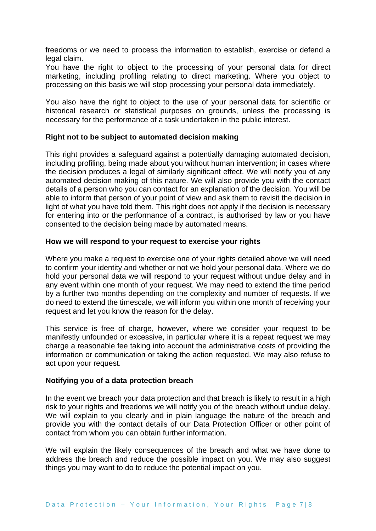freedoms or we need to process the information to establish, exercise or defend a legal claim.

You have the right to object to the processing of your personal data for direct marketing, including profiling relating to direct marketing. Where you object to processing on this basis we will stop processing your personal data immediately.

You also have the right to object to the use of your personal data for scientific or historical research or statistical purposes on grounds, unless the processing is necessary for the performance of a task undertaken in the public interest.

#### **Right not to be subject to automated decision making**

This right provides a safeguard against a potentially damaging automated decision, including profiling, being made about you without human intervention; in cases where the decision produces a legal of similarly significant effect. We will notify you of any automated decision making of this nature. We will also provide you with the contact details of a person who you can contact for an explanation of the decision. You will be able to inform that person of your point of view and ask them to revisit the decision in light of what you have told them. This right does not apply if the decision is necessary for entering into or the performance of a contract, is authorised by law or you have consented to the decision being made by automated means.

#### **How we will respond to your request to exercise your rights**

Where you make a request to exercise one of your rights detailed above we will need to confirm your identity and whether or not we hold your personal data. Where we do hold your personal data we will respond to your request without undue delay and in any event within one month of your request. We may need to extend the time period by a further two months depending on the complexity and number of requests. If we do need to extend the timescale, we will inform you within one month of receiving your request and let you know the reason for the delay.

This service is free of charge, however, where we consider your request to be manifestly unfounded or excessive, in particular where it is a repeat request we may charge a reasonable fee taking into account the administrative costs of providing the information or communication or taking the action requested. We may also refuse to act upon your request.

#### **Notifying you of a data protection breach**

In the event we breach your data protection and that breach is likely to result in a high risk to your rights and freedoms we will notify you of the breach without undue delay. We will explain to you clearly and in plain language the nature of the breach and provide you with the contact details of our Data Protection Officer or other point of contact from whom you can obtain further information.

We will explain the likely consequences of the breach and what we have done to address the breach and reduce the possible impact on you. We may also suggest things you may want to do to reduce the potential impact on you.